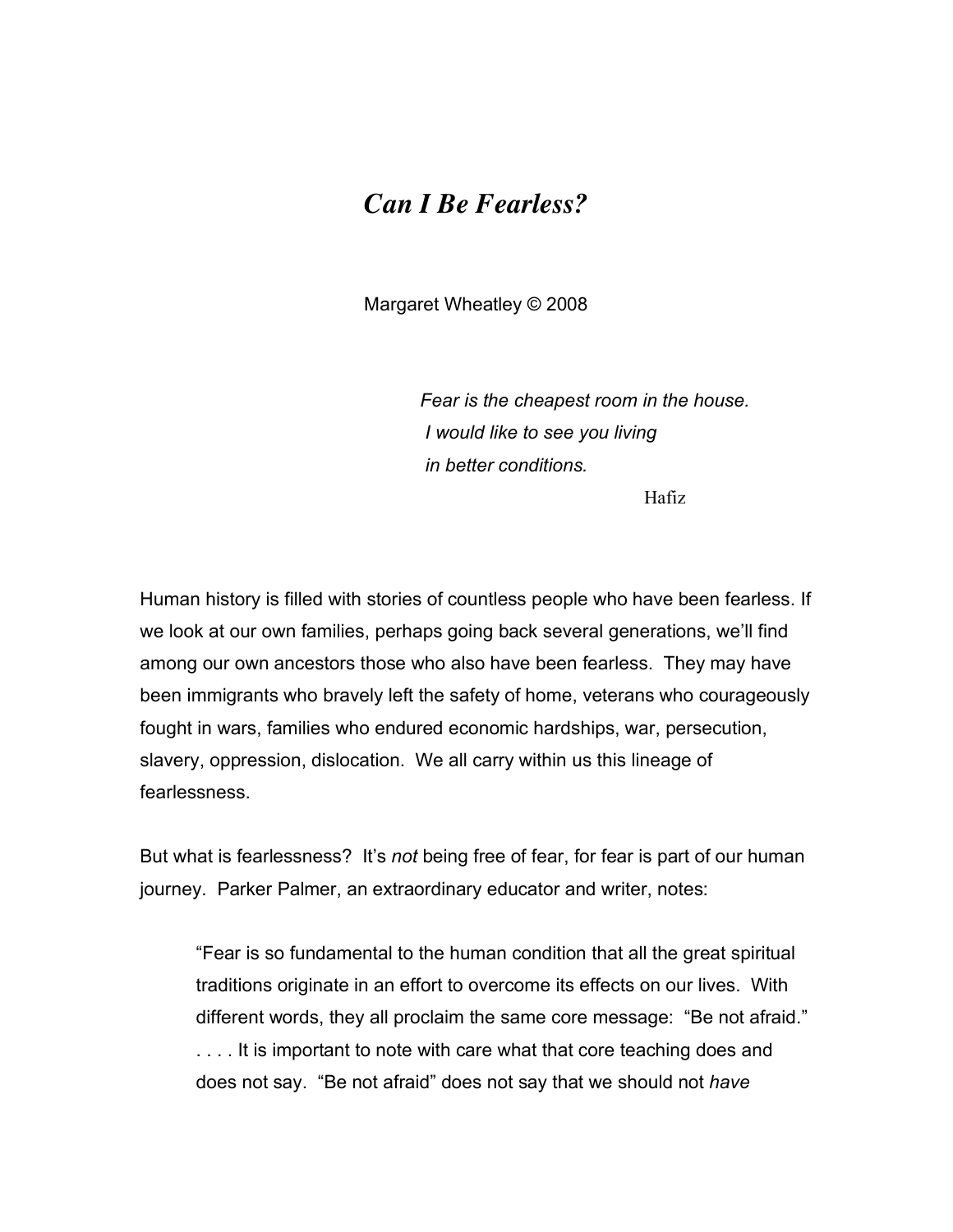## *Can I Be Fearless?*

Margaret Wheatley © 2008

*Fear is the cheapest room in the house. I would like to see you living in better conditions.*

Hafiz

Human history is filled with stories of countless people who have been fearless. If we look at our own families, perhaps going back several generations, we'll find among our own ancestors those who also have been fearless. They may have been immigrants who bravely left the safety of home, veterans who courageously fought in wars, families who endured economic hardships, war, persecution, slavery, oppression, dislocation. We all carry within us this lineage of fearlessness.

But what is fearlessness? It's *not* being free of fear, for fear is part of our human journey. Parker Palmer, an extraordinary educator and writer, notes:

"Fear is so fundamental to the human condition that all the great spiritual traditions originate in an effort to overcome its effects on our lives. With different words, they all proclaim the same core message: "Be not afraid." .... It is important to note with care what that core teaching does and does not say. "Be not afraid" does not say that we should not *have*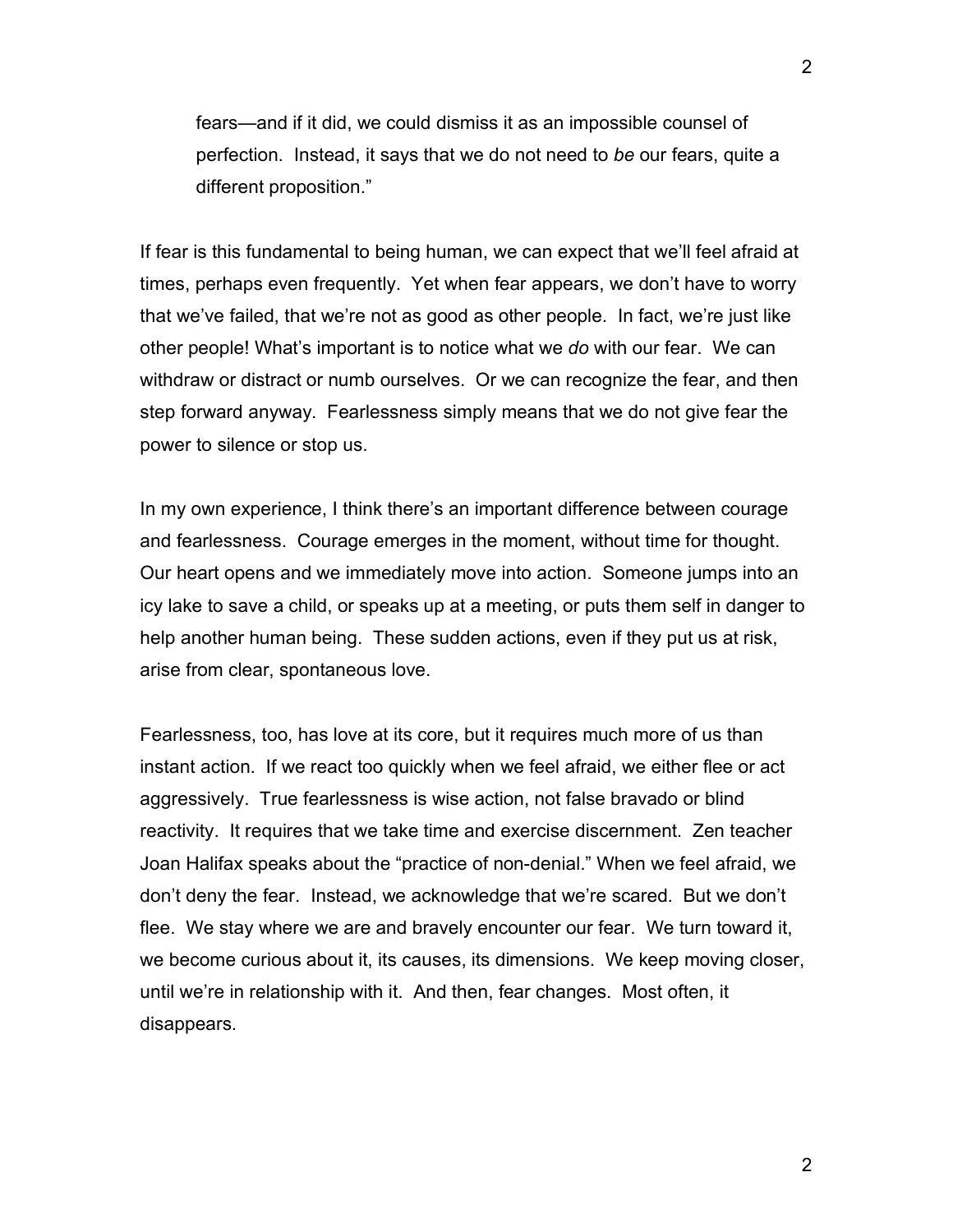fears—and if it did, we could dismiss it as an impossible counsel of perfection. Instead, it says that we do not need to *be* our fears, quite a different proposition."

If fear is this fundamental to being human, we can expect that we'll feel afraid at times, perhaps even frequently. Yet when fear appears, we don't have to worry that we've failed, that we're not as good as other people. In fact, we're just like other people! What's important is to notice what we *do* with our fear. We can withdraw or distract or numb ourselves. Or we can recognize the fear, and then step forward anyway. Fearlessness simply means that we do not give fear the power to silence or stop us.

In my own experience, I think there's an important difference between courage and fearlessness. Courage emerges in the moment, without time for thought. Our heart opens and we immediately move into action. Someone jumps into an icy lake to save a child, or speaks up at a meeting, or puts them self in danger to help another human being. These sudden actions, even if they put us at risk, arise from clear, spontaneous love.

Fearlessness, too, has love at its core, but it requires much more of us than instant action. If we react too quickly when we feel afraid, we either flee or act aggressively. True fearlessness is wise action, not false bravado or blind reactivity. It requires that we take time and exercise discernment. Zen teacher Joan Halifax speaks about the "practice of non-denial." When we feel afraid, we don't deny the fear. Instead, we acknowledge that we're scared. But we don't flee. We stay where we are and bravely encounter our fear. We turn toward it, we become curious about it, its causes, its dimensions. We keep moving closer, until we're in relationship with it. And then, fear changes. Most often, it disappears.

2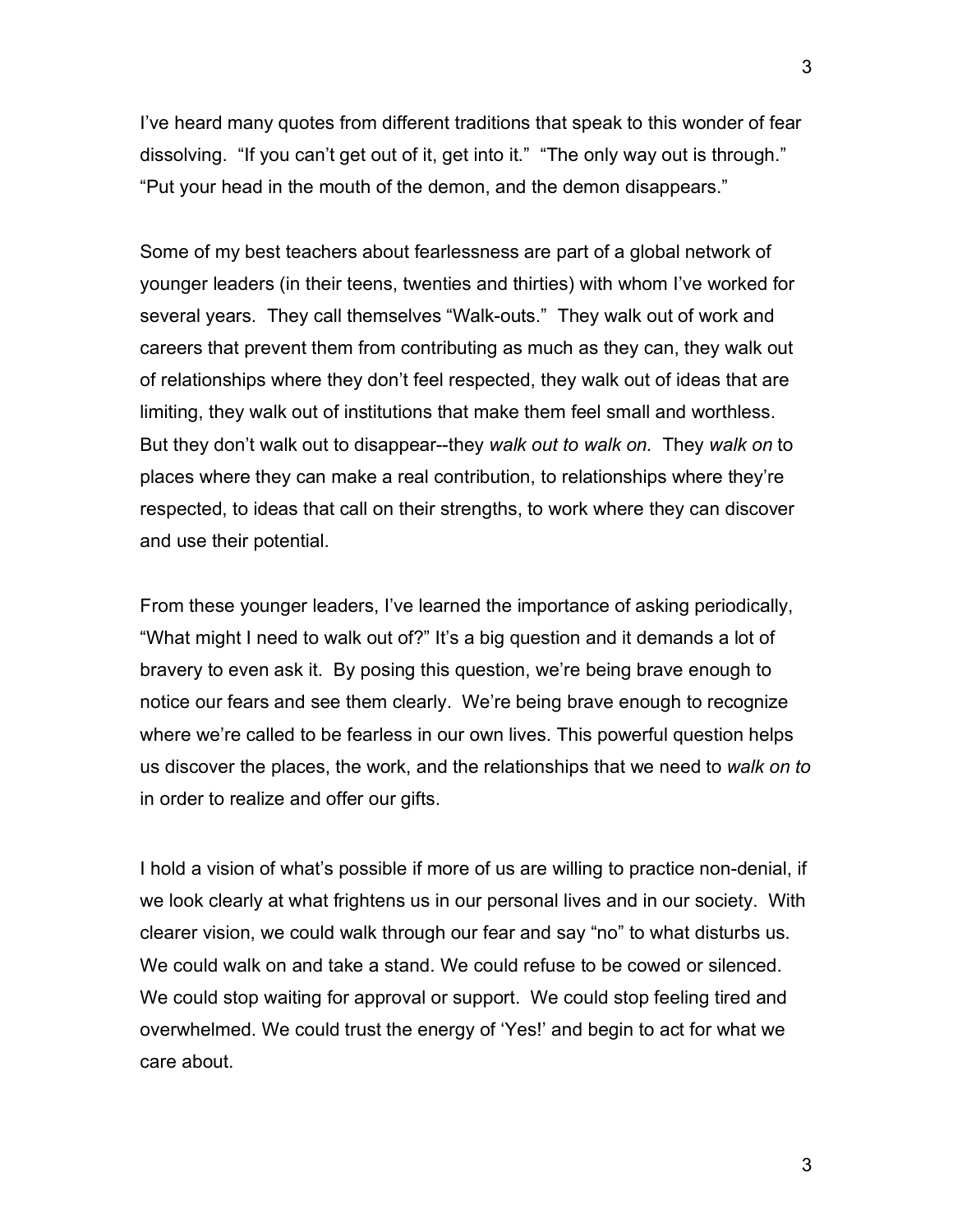I've heard many quotes from different traditions that speak to this wonder of fear dissolving. "If you can't get out of it, get into it." "The only way out is through." "Put your head in the mouth of the demon, and the demon disappears."

Some of my best teachers about fearlessness are part of a global network of younger leaders (in their teens, twenties and thirties) with whom I've worked for several years. They call themselves "Walk-outs." They walk out of work and careers that prevent them from contributing as much as they can, they walk out of relationships where they don't feel respected, they walk out of ideas that are limiting, they walk out of institutions that make them feel small and worthless. But they don't walk out to disappear--they *walk out to walk on.* They *walk on* to places where they can make a real contribution, to relationships where they're respected, to ideas that call on their strengths, to work where they can discover and use their potential.

From these younger leaders, I've learned the importance of asking periodically, "What might I need to walk out of?" It's a big question and it demands a lot of bravery to even ask it. By posing this question, we're being brave enough to notice our fears and see them clearly. We're being brave enough to recognize where we're called to be fearless in our own lives. This powerful question helps us discover the places, the work, and the relationships that we need to *walk on to* in order to realize and offer our gifts.

I hold a vision of what's possible if more of us are willing to practice non-denial, if we look clearly at what frightens us in our personal lives and in our society. With clearer vision, we could walk through our fear and say "no" to what disturbs us. We could walk on and take a stand. We could refuse to be cowed or silenced. We could stop waiting for approval or support. We could stop feeling tired and overwhelmed. We could trust the energy of 'Yes!' and begin to act for what we care about.

3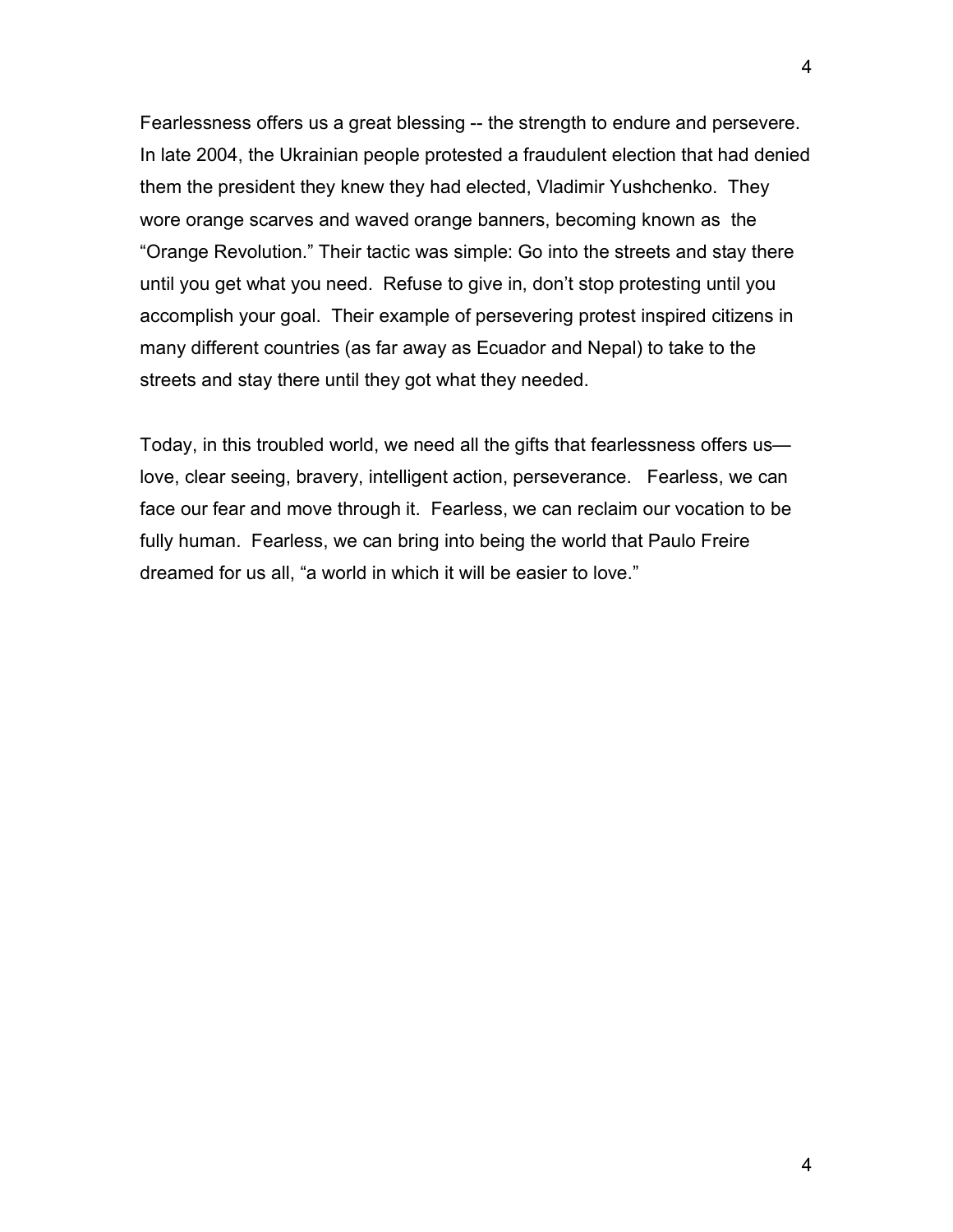Fearlessness offers us a great blessing -- the strength to endure and persevere. In late 2004, the Ukrainian people protested a fraudulent election that had denied them the president they knew they had elected, Vladimir Yushchenko. They wore orange scarves and waved orange banners, becoming known as the "Orange Revolution." Their tactic was simple: Go into the streets and stay there until you get what you need. Refuse to give in, don't stop protesting until you accomplish your goal. Their example of persevering protest inspired citizens in many different countries (as far away as Ecuador and Nepal) to take to the streets and stay there until they got what they needed.

Today, in this troubled world, we need all the gifts that fearlessness offers us love, clear seeing, bravery, intelligent action, perseverance. Fearless, we can face our fear and move through it. Fearless, we can reclaim our vocation to be fully human. Fearless, we can bring into being the world that Paulo Freire dreamed for us all, "a world in which it will be easier to love."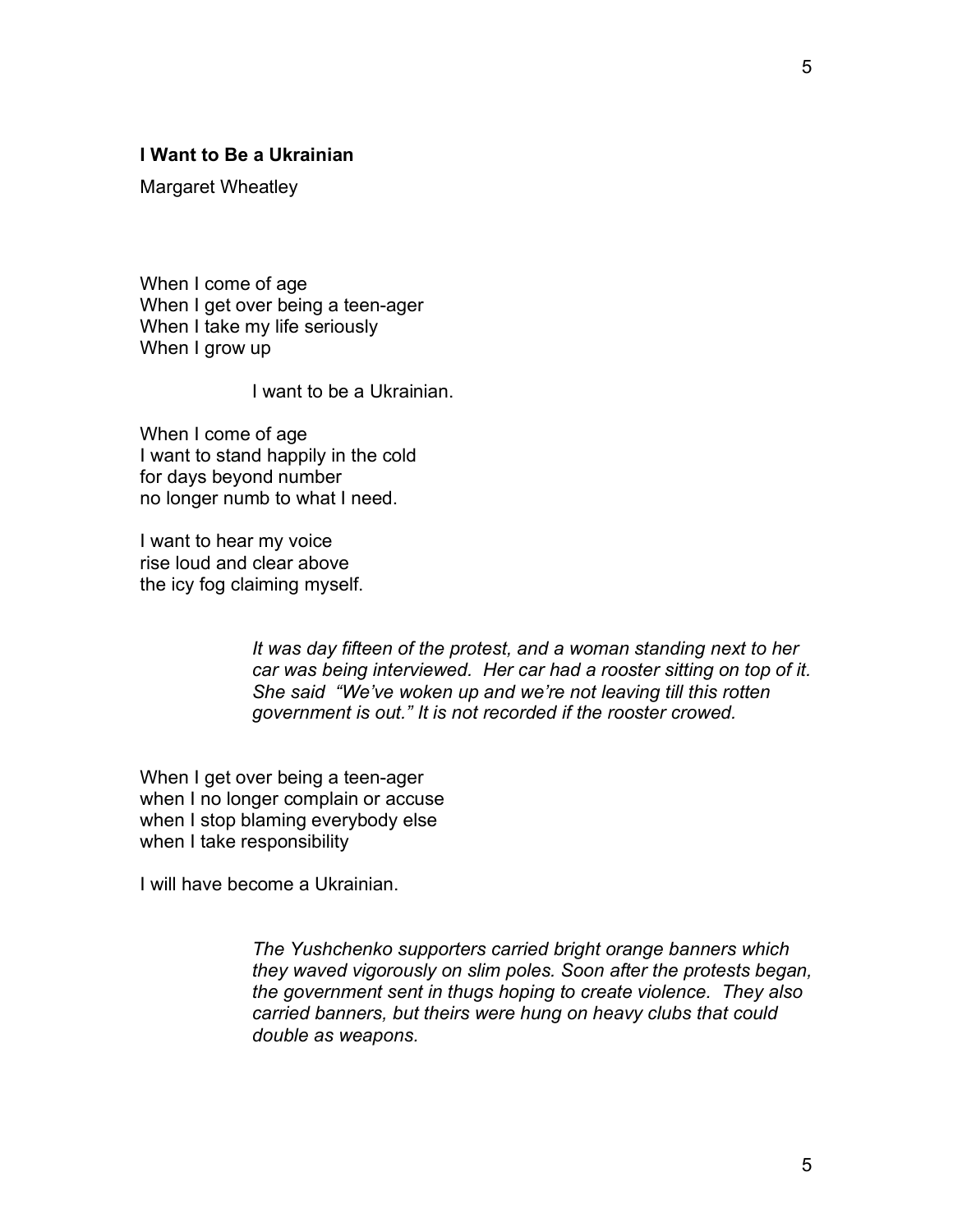## **I Want to Be a Ukrainian**

Margaret Wheatley

When I come of age When I get over being a teen-ager When I take my life seriously When I grow up

I want to be a Ukrainian.

When I come of age I want to stand happily in the cold for days beyond number no longer numb to what I need.

I want to hear my voice rise loud and clear above the icy fog claiming myself.

> *It was day fifteen of the protest, and a woman standing next to her car was being interviewed. Her car had a rooster sitting on top of it. She said "We've woken up and we're not leaving till this rotten government is out." It is not recorded if the rooster crowed.*

When I get over being a teen-ager when I no longer complain or accuse when I stop blaming everybody else when I take responsibility

I will have become a Ukrainian.

*The Yushchenko supporters carried bright orange banners which they waved vigorously on slim poles. Soon after the protests began, the government sent in thugs hoping to create violence. They also carried banners, but theirs were hung on heavy clubs that could double as weapons.*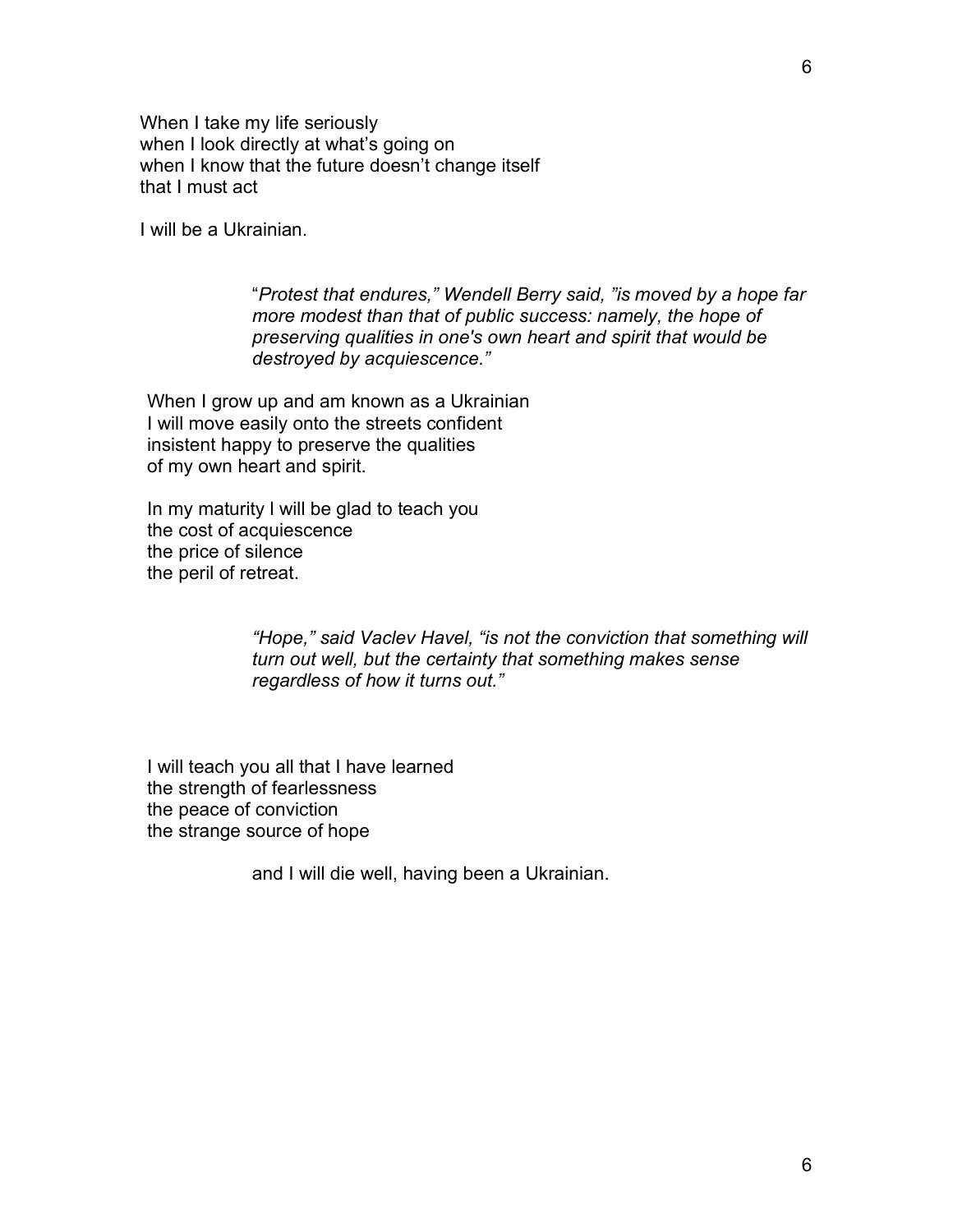When I take my life seriously when I look directly at what's going on when I know that the future doesn't change itself that I must act

I will be a Ukrainian.

"*Protest that endures," Wendell Berry said, "is moved by a hope far more modest than that of public success: namely, the hope of preserving qualities in one's own heart and spirit that would be destroyed by acquiescence."*

When I grow up and am known as a Ukrainian I will move easily onto the streets confident insistent happy to preserve the qualities of my own heart and spirit.

In my maturity l will be glad to teach you the cost of acquiescence the price of silence the peril of retreat.

> *"Hope," said Vaclev Havel, "is not the conviction that something will turn out well, but the certainty that something makes sense regardless of how it turns out."*

I will teach you all that I have learned the strength of fearlessness the peace of conviction the strange source of hope

and I will die well, having been a Ukrainian.